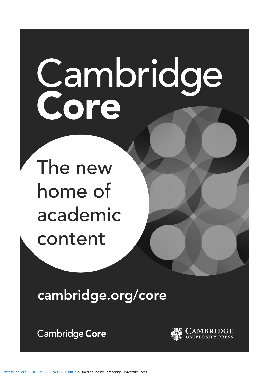# Cambridge<br>Core

The new home of academic content

**cambridge.org/core**

Cambridge Core

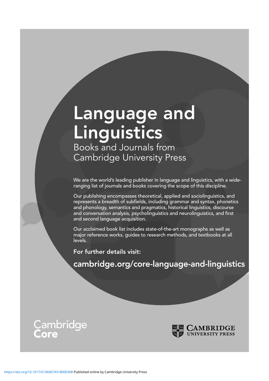# Language and Linguistics

Books and Journals from Cambridge University Press

We are the world's leading publisher in language and linguistics, with a wideranging list of journals and books covering the scope of this discipline.

Our publishing encompasses theoretical, applied and sociolinguistics, and represents a breadth of subfields, including grammar and syntax, phonetics and phonology, semantics and pragmatics, historical linguistics, discourse and conversation analysis, psycholinguistics and neurolinguistics, and first and second language acquisition.

Our acclaimed book list includes state-of-the-art monographs as well as major reference works, guides to research methods, and textbooks at all levels.

For further details visit:

cambridge.org/core-language-and-linguistics



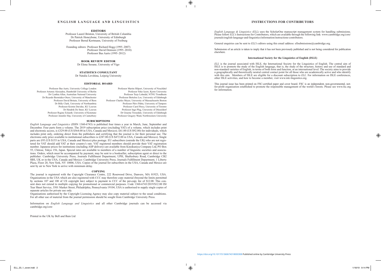### **INSTRUCTIONS FOR CONTRIBUTORS**

*English Language & Linguistics (ELL)* uses the ScholarOne manuscript management system for handling submissions. Please follow *ELL*'s Instructions for Contributors, which are available through the following link: www.cambridge.org/core/ journals/english-language-and-linguistics/information/instructions-contributors.

General enquiries can be sent to *ELL*'s editors using this email address: ellsubmissions@cambridge.org.

Submission of an article is taken to imply that it has not been previously published and is not being considered for publication elsewhere.

### **International Society for the Linguistics of English (ISLE)**

*ELL* is the journal associated with ISLE, the International Society for the Linguistics of English. The central aim of ISLE is to promote the study of the English language, that is, the study of the structure, history and use of standard and  $\overline{\phantom{a}}$ non-standard varieties of English, in terms of both form and function, at an international level. The society aims to provide a geographically and theoretically neutral central contact point for all those who are academically active and who identify with this aim. Members of ISLE are eligible for a discount subscription to *ELL*. For information on ISLE conferences, other ISLE activities, and how to become a member, visit www.isle-linguistics.org.

This journal issue has been printed on FSC-certified paper and cover board. FSC is an independent, non-governmental, notfor-profit organisation established to promote the responsible management of the world's forests. Please see www.fsc.org for information.